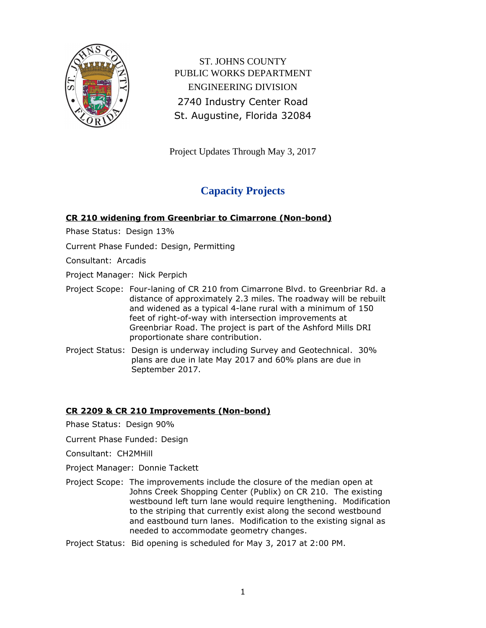

ST. JOHNS COUNTY PUBLIC WORKS DEPARTMENT ENGINEERING DIVISION 2740 Industry Center Road St. Augustine, Florida 32084

Project Updates Through May 3, 2017

# **Capacity Projects**

### **CR 210 widening from Greenbriar to Cimarrone (Non-bond)**

Phase Status: Design 13%

Current Phase Funded: Design, Permitting

Consultant: Arcadis

Project Manager: Nick Perpich

- Project Scope: Four-laning of CR 210 from Cimarrone Blvd. to Greenbriar Rd. a distance of approximately 2.3 miles. The roadway will be rebuilt and widened as a typical 4-lane rural with a minimum of 150 feet of right-of-way with intersection improvements at Greenbriar Road. The project is part of the Ashford Mills DRI proportionate share contribution.
- Project Status: Design is underway including Survey and Geotechnical. 30% plans are due in late May 2017 and 60% plans are due in September 2017.

### **CR 2209 & CR 210 Improvements (Non-bond)**

- Phase Status: Design 90%
- Current Phase Funded: Design
- Consultant: CH2MHill
- Project Manager: Donnie Tackett
- Project Scope: The improvements include the closure of the median open at Johns Creek Shopping Center (Publix) on CR 210. The existing westbound left turn lane would require lengthening. Modification to the striping that currently exist along the second westbound and eastbound turn lanes. Modification to the existing signal as needed to accommodate geometry changes.
- Project Status: Bid opening is scheduled for May 3, 2017 at 2:00 PM.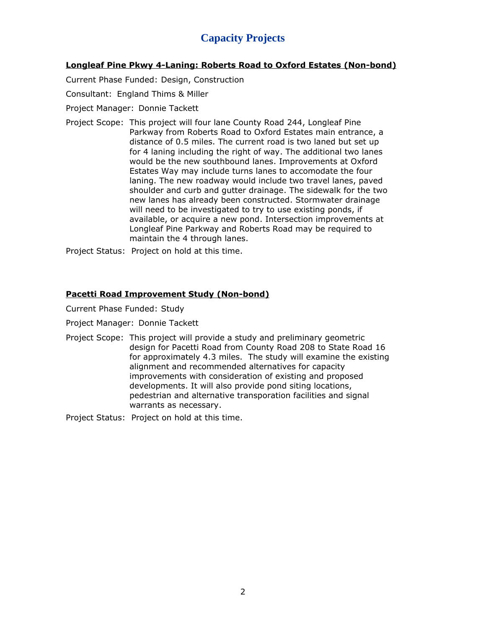# **Capacity Projects**

#### **Longleaf Pine Pkwy 4-Laning: Roberts Road to Oxford Estates (Non-bond)**

Current Phase Funded: Design, Construction

#### Consultant: England Thims & Miller

- Project Manager: Donnie Tackett
- Project Scope: This project will four lane County Road 244, Longleaf Pine Parkway from Roberts Road to Oxford Estates main entrance, a distance of 0.5 miles. The current road is two laned but set up for 4 laning including the right of way. The additional two lanes would be the new southbound lanes. Improvements at Oxford Estates Way may include turns lanes to accomodate the four laning. The new roadway would include two travel lanes, paved shoulder and curb and gutter drainage. The sidewalk for the two new lanes has already been constructed. Stormwater drainage will need to be investigated to try to use existing ponds, if available, or acquire a new pond. Intersection improvements at Longleaf Pine Parkway and Roberts Road may be required to maintain the 4 through lanes.

Project Status: Project on hold at this time.

#### **Pacetti Road Improvement Study (Non-bond)**

Current Phase Funded: Study

Project Manager: Donnie Tackett

Project Scope: This project will provide a study and preliminary geometric design for Pacetti Road from County Road 208 to State Road 16 for approximately 4.3 miles. The study will examine the existing alignment and recommended alternatives for capacity improvements with consideration of existing and proposed developments. It will also provide pond siting locations, pedestrian and alternative transporation facilities and signal warrants as necessary.

Project Status: Project on hold at this time.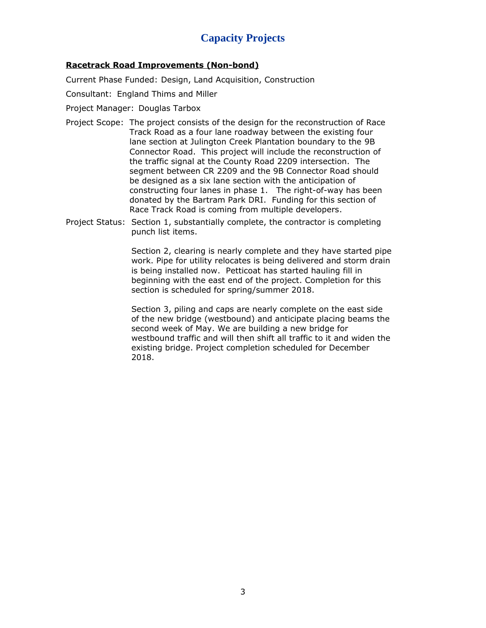# **Capacity Projects**

#### **Racetrack Road Improvements (Non-bond)**

Current Phase Funded: Design, Land Acquisition, Construction

Consultant: England Thims and Miller

Project Manager: Douglas Tarbox

- Project Scope: The project consists of the design for the reconstruction of Race Track Road as a four lane roadway between the existing four lane section at Julington Creek Plantation boundary to the 9B Connector Road. This project will include the reconstruction of the traffic signal at the County Road 2209 intersection. The segment between CR 2209 and the 9B Connector Road should be designed as a six lane section with the anticipation of constructing four lanes in phase 1. The right-of-way has been donated by the Bartram Park DRI. Funding for this section of Race Track Road is coming from multiple developers.
- Project Status: Section 1, substantially complete, the contractor is completing punch list items.

Section 2, clearing is nearly complete and they have started pipe work. Pipe for utility relocates is being delivered and storm drain is being installed now. Petticoat has started hauling fill in beginning with the east end of the project. Completion for this section is scheduled for spring/summer 2018.

Section 3, piling and caps are nearly complete on the east side of the new bridge (westbound) and anticipate placing beams the second week of May. We are building a new bridge for westbound traffic and will then shift all traffic to it and widen the existing bridge. Project completion scheduled for December 2018.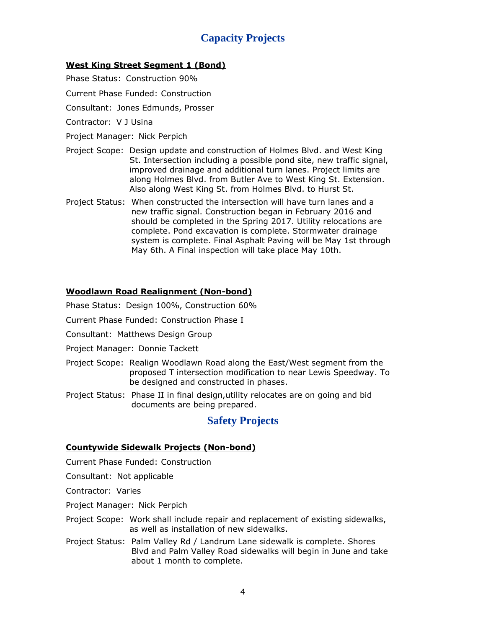# **Capacity Projects**

### **West King Street Segment 1 (Bond)**

- Phase Status: Construction 90%
- Current Phase Funded: Construction
- Consultant: Jones Edmunds, Prosser
- Contractor: V J Usina
- Project Manager: Nick Perpich
- Project Scope: Design update and construction of Holmes Blvd. and West King St. Intersection including a possible pond site, new traffic signal, improved drainage and additional turn lanes. Project limits are along Holmes Blvd. from Butler Ave to West King St. Extension. Also along West King St. from Holmes Blvd. to Hurst St.
- Project Status: When constructed the intersection will have turn lanes and a new traffic signal. Construction began in February 2016 and should be completed in the Spring 2017. Utility relocations are complete. Pond excavation is complete. Stormwater drainage system is complete. Final Asphalt Paving will be May 1st through May 6th. A Final inspection will take place May 10th.

### **Woodlawn Road Realignment (Non-bond)**

- Phase Status: Design 100%, Construction 60%
- Current Phase Funded: Construction Phase I
- Consultant: Matthews Design Group
- Project Manager: Donnie Tackett
- Project Scope: Realign Woodlawn Road along the East/West segment from the proposed T intersection modification to near Lewis Speedway. To be designed and constructed in phases.
- Project Status: Phase II in final design,utility relocates are on going and bid documents are being prepared.

### **Safety Projects**

### **Countywide Sidewalk Projects (Non-bond)**

Current Phase Funded: Construction

Consultant: Not applicable

Contractor: Varies

- Project Manager: Nick Perpich
- Project Scope: Work shall include repair and replacement of existing sidewalks, as well as installation of new sidewalks.
- Project Status: Palm Valley Rd / Landrum Lane sidewalk is complete. Shores Blvd and Palm Valley Road sidewalks will begin in June and take about 1 month to complete.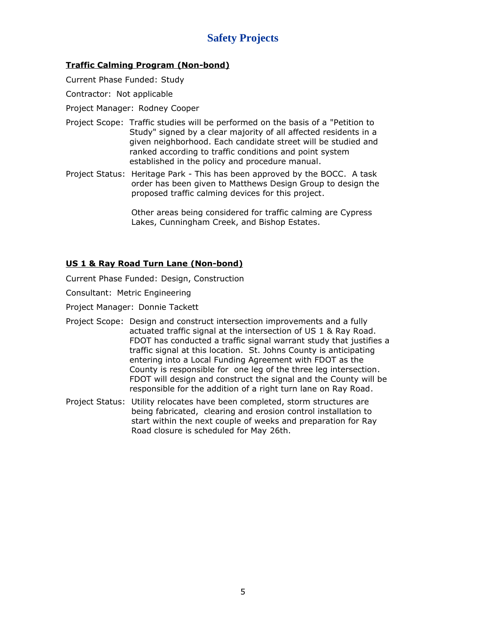# **Safety Projects**

### **Traffic Calming Program (Non-bond)**

Current Phase Funded: Study

Contractor: Not applicable

Project Manager: Rodney Cooper

- Project Scope: Traffic studies will be performed on the basis of a "Petition to Study" signed by a clear majority of all affected residents in a given neighborhood. Each candidate street will be studied and ranked according to traffic conditions and point system established in the policy and procedure manual.
- Project Status: Heritage Park This has been approved by the BOCC. A task order has been given to Matthews Design Group to design the proposed traffic calming devices for this project.

Other areas being considered for traffic calming are Cypress Lakes, Cunningham Creek, and Bishop Estates.

### **US 1 & Ray Road Turn Lane (Non-bond)**

Current Phase Funded: Design, Construction

Consultant: Metric Engineering

Project Manager: Donnie Tackett

- Project Scope: Design and construct intersection improvements and a fully actuated traffic signal at the intersection of US 1 & Ray Road. FDOT has conducted a traffic signal warrant study that justifies a traffic signal at this location. St. Johns County is anticipating entering into a Local Funding Agreement with FDOT as the County is responsible for one leg of the three leg intersection. FDOT will design and construct the signal and the County will be responsible for the addition of a right turn lane on Ray Road.
- Project Status: Utility relocates have been completed, storm structures are being fabricated, clearing and erosion control installation to start within the next couple of weeks and preparation for Ray Road closure is scheduled for May 26th.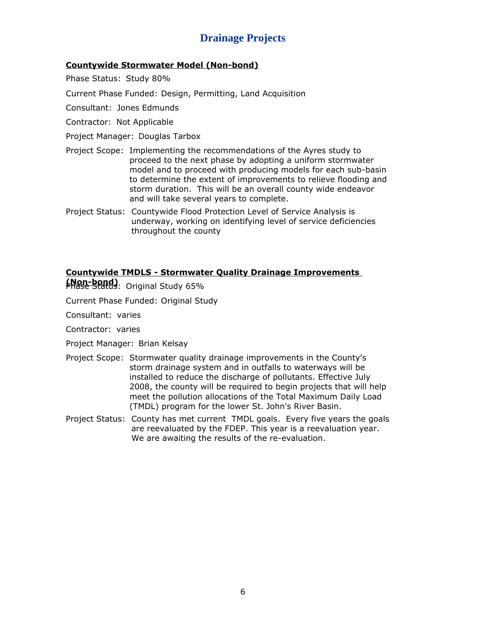# **Drainage Projects**

### **Countywide Stormwater Model (Non-bond)**

Phase Status: Study 80%

Current Phase Funded: Design, Permitting, Land Acquisition

Consultant: Jones Edmunds

- Contractor: Not Applicable
- Project Manager: Douglas Tarbox
- Project Scope: Implementing the recommendations of the Ayres study to proceed to the next phase by adopting a uniform stormwater model and to proceed with producing models for each sub-basin to determine the extent of improvements to relieve flooding and storm duration. This will be an overall county wide endeavor and will take several years to complete.
- Project Status: Countywide Flood Protection Level of Service Analysis is underway, working on identifying level of service deficiencies throughout the county

### **Countywide TMDLS - Stormwater Quality Drainage Improvements**

Phase Status: Original Study 65% **(Non-bond)**

Current Phase Funded: Original Study

Consultant: varies

Contractor: varies

Project Manager: Brian Kelsay

- Project Scope: Stormwater quality drainage improvements in the County's storm drainage system and in outfalls to waterways will be installed to reduce the discharge of pollutants. Effective July 2008, the county will be required to begin projects that will help meet the pollution allocations of the Total Maximum Daily Load (TMDL) program for the lower St. John's River Basin.
- Project Status: County has met current TMDL goals. Every five years the goals are reevaluated by the FDEP. This year is a reevaluation year. We are awaiting the results of the re-evaluation.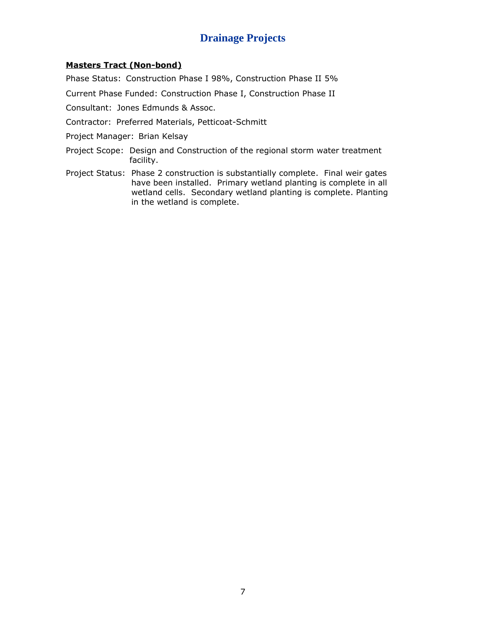# **Drainage Projects**

#### **Masters Tract (Non-bond)**

Phase Status: Construction Phase I 98%, Construction Phase II 5%

Current Phase Funded: Construction Phase I, Construction Phase II

Consultant: Jones Edmunds & Assoc.

- Contractor: Preferred Materials, Petticoat-Schmitt
- Project Manager: Brian Kelsay
- Project Scope: Design and Construction of the regional storm water treatment facility.
- Project Status: Phase 2 construction is substantially complete. Final weir gates have been installed. Primary wetland planting is complete in all wetland cells. Secondary wetland planting is complete. Planting in the wetland is complete.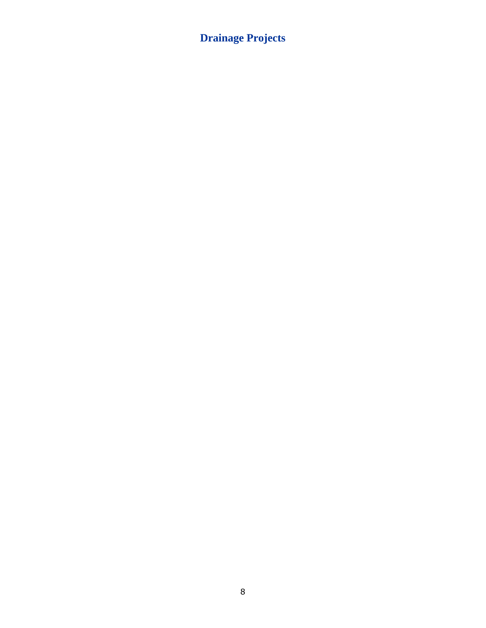# **Drainage Projects**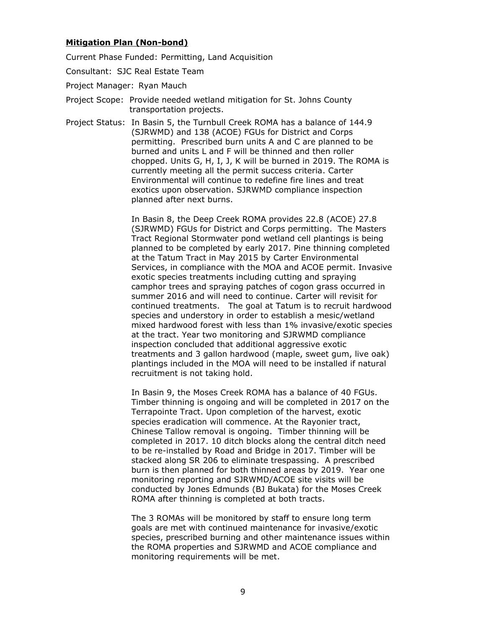#### **Mitigation Plan (Non-bond)**

Current Phase Funded: Permitting, Land Acquisition

- Consultant: SJC Real Estate Team
- Project Manager: Ryan Mauch
- Project Scope: Provide needed wetland mitigation for St. Johns County transportation projects.
- Project Status: In Basin 5, the Turnbull Creek ROMA has a balance of 144.9 (SJRWMD) and 138 (ACOE) FGUs for District and Corps permitting. Prescribed burn units A and C are planned to be burned and units L and F will be thinned and then roller chopped. Units G, H, I, J, K will be burned in 2019. The ROMA is currently meeting all the permit success criteria. Carter Environmental will continue to redefine fire lines and treat exotics upon observation. SJRWMD compliance inspection planned after next burns.

In Basin 8, the Deep Creek ROMA provides 22.8 (ACOE) 27.8 (SJRWMD) FGUs for District and Corps permitting. The Masters Tract Regional Stormwater pond wetland cell plantings is being planned to be completed by early 2017. Pine thinning completed at the Tatum Tract in May 2015 by Carter Environmental Services, in compliance with the MOA and ACOE permit. Invasive exotic species treatments including cutting and spraying camphor trees and spraying patches of cogon grass occurred in summer 2016 and will need to continue. Carter will revisit for continued treatments. The goal at Tatum is to recruit hardwood species and understory in order to establish a mesic/wetland mixed hardwood forest with less than 1% invasive/exotic species at the tract. Year two monitoring and SJRWMD compliance inspection concluded that additional aggressive exotic treatments and 3 gallon hardwood (maple, sweet gum, live oak) plantings included in the MOA will need to be installed if natural recruitment is not taking hold.

In Basin 9, the Moses Creek ROMA has a balance of 40 FGUs. Timber thinning is ongoing and will be completed in 2017 on the Terrapointe Tract. Upon completion of the harvest, exotic species eradication will commence. At the Rayonier tract, Chinese Tallow removal is ongoing. Timber thinning will be completed in 2017. 10 ditch blocks along the central ditch need to be re-installed by Road and Bridge in 2017. Timber will be stacked along SR 206 to eliminate trespassing. A prescribed burn is then planned for both thinned areas by 2019. Year one monitoring reporting and SJRWMD/ACOE site visits will be conducted by Jones Edmunds (BJ Bukata) for the Moses Creek ROMA after thinning is completed at both tracts.

The 3 ROMAs will be monitored by staff to ensure long term goals are met with continued maintenance for invasive/exotic species, prescribed burning and other maintenance issues within the ROMA properties and SJRWMD and ACOE compliance and monitoring requirements will be met.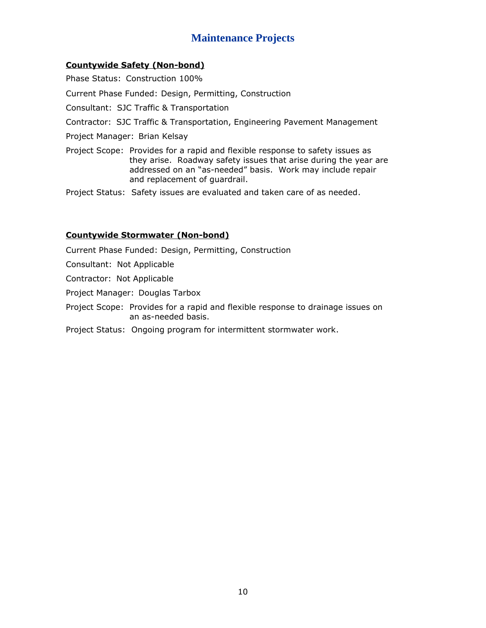### **Maintenance Projects**

### **Countywide Safety (Non-bond)**

Phase Status: Construction 100%

Current Phase Funded: Design, Permitting, Construction

Consultant: SJC Traffic & Transportation

- Contractor: SJC Traffic & Transportation, Engineering Pavement Management
- Project Manager: Brian Kelsay
- Project Scope: Provides for a rapid and flexible response to safety issues as they arise. Roadway safety issues that arise during the year are addressed on an "as-needed" basis. Work may include repair and replacement of guardrail.

Project Status: Safety issues are evaluated and taken care of as needed.

#### **Countywide Stormwater (Non-bond)**

Current Phase Funded: Design, Permitting, Construction

Consultant: Not Applicable

Contractor: Not Applicable

Project Manager: Douglas Tarbox

- Project Scope: Provides for a rapid and flexible response to drainage issues on an as-needed basis.
- Project Status: Ongoing program for intermittent stormwater work.